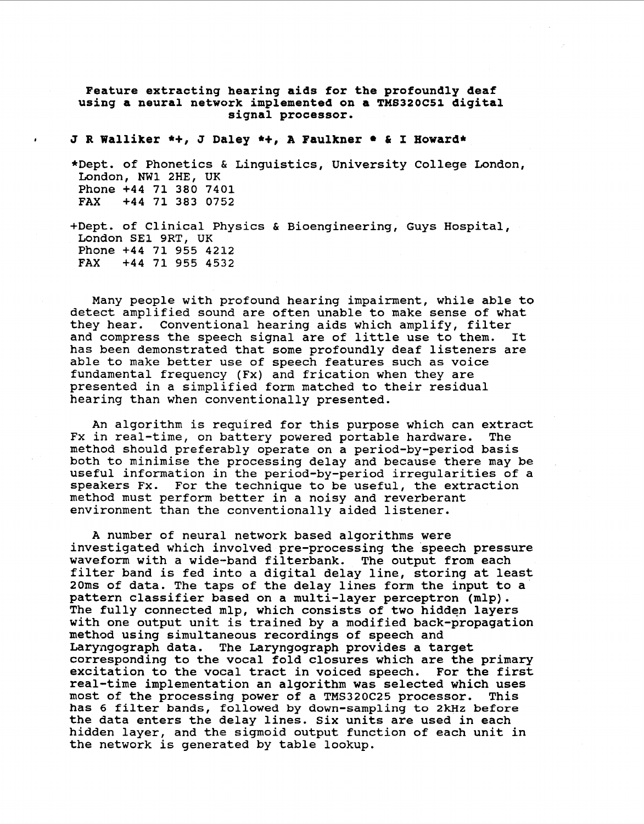Feature extracting hearing aids for the profoundly deaf **using a neural network implemented on a TMS320C51 digital signal processor.** 

**I J R Walliker** \*+, **J Daley** \*+, **A Faulkner** & **I Howard\*** 

\*Dept. of Phonetics *ti* Linguistics, University College London, London, **NW1** 2HE, UK Phone +44 71 380 7401<br>FAX +44 71 383 0752 **FAX** +44 71 383 0752

+Dept. of Clinical Physics & Bioengineering, Guys Hospital, London SE1 9RT, UK Phone +44 71 955 4212<br>FAX +44 71 955 4532 **FAX** +44 71 **955** 4532

Many people with profound hearing impairment, while able to detect amplified sound are often unable to make sense of what they hear. Conventional hearing aids which amplify, filter and compress the speech signal are of little use to them. It has been demonstrated that some profoundly deaf listeners are able to make better use of speech features such as voice fundamental frequency (Fx) and frication when they are presented in a simplified form matched to their residual hearing than when conventionally presented.

An algorithm is required for this purpose which can extract Fx in real-time, on battery powered portable hardware. method should preferably operate on a period-by-period basis both to minimise the processing delay and because there may be useful information in the period-by-period irregularities of a speakers Fx. For the technique to be useful, the extraction method must perform better in a noisy and reverberant environment than the conventionally aided listener.

**A** number of neural network based algorithms were investigated which involved pre-processing the speech pressure waveform with a wide-band filterbank. The output from each filter band is fed into a digital delay line, storing at least 20ms of data. The taps of the delay lines form the input to a pattern classifier based on a multi-layer perceptron (mlp). The fully connected mlp, which consists of two hidden layers with one output unit is trained by a modified back-propagation method using simultaneous recordings of speech and Laryngograph data. The Laryngograph provides a target corresponding to the vocal fold closures which are the primary excitation to the vocal tract in voiced speech. For the first real-time implementation an algorithm was selected which uses most of the processing power of a TMS320C25 processor. This has 6 filter bands, followed by down-sampling to 2kHz **before**  the data enters the delay lines. Six units are used in each hidden layer, and the sigmoid output function of each unit in the network is generated by table lookup.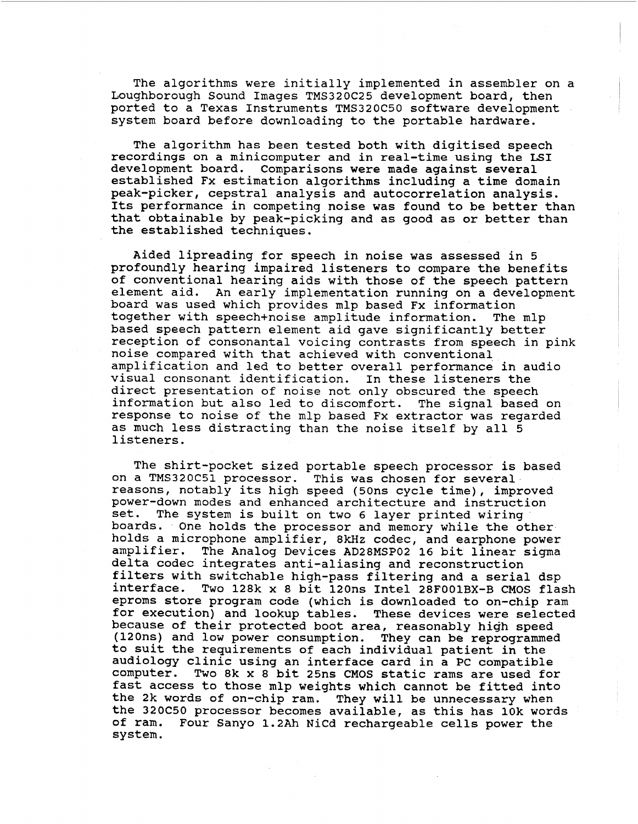The algorithms were initially implemented in assembler on a Loughborough Sound Images TMS320C25 development board, then ported to a Texas Instruments TMS320C50 software development system board before downloading to the portable hardware.

The algorithm has been tested both with digitised speech recordings on a minicomputer and in real-time using the LSI development board. Comparisons were made against several established Fx estimation algorithms including a time domain peak-picker, cepstral analysis and autocorrelation analysis. Its performance in competing noise was found to be better than that obtainable by peak-picking and as good as or better than the established techniques.

Aided lipreading for speech in noise was assessed in 5 profoundly hearing impaired listeners to compare the benefits of conventional hearing aids with those of the speech pattern element aid. An early implementation running on a development board was used which provides mlp based Fx information together with speech+noise amplitude information. based speech pattern element aid gave significantly better reception of consonantal voicing contrasts from speech in pink noise compared with that achieved with conventional amplification and led to better overall performance in audio visual consonant identification. In these listeners the direct presentation of noise not only obscured the speech information but also led to discomfort. The signal based on response to noise of the mlp based Fx extractor was regarded as much less distracting than the noise itself by all *5*  listeners.

The shirt-pocket sized portable speech processor is based on a TMS320C51 processor. This was chosen for several reasons, notably its high speed (50ns cycle time), improved power-down modes and enhanced architecture and instruction<br>set. The system is built on two 6 laver printed wiring The system is built on two 6 layer printed wiring boards. One holds the processor and memory while the other holds a microphone amplifier, 8kHz codec, and earphone power amplifier. The Analog Devices AD28MSP02 16 bit linear sigma delta codec integrates anti-aliasing and reconstruction filters with switchable high-pass filtering and a serial dsp<br>interface. Two 128k x 8 bit 120ns Intel 28F001BX-B CMOS fla: Two 128k x 8 bit 120ns Intel 28F001BX-B CMOS flash eproms store program code (which is downloaded to on-chip ram for execution) and lookup tables. These devices were selected because of their protected boot area, reasonably high speed (120ns) and low power consumption. They can be reprogrammed to suit the requirements of each individual patient in the audiology clinic using an interface card in a **PC** compatible Two 8k x 8 bit 25ns CMOS static rams are used for fast access to those mlp weights which cannot be fitted into the **2k** words of on-chip ram. They will be unnecessary when the 320C50 processor becomes available, as this has 10k words of ram. Four Sanyo 1.2Ah NiCd rechargeable cells power the system.